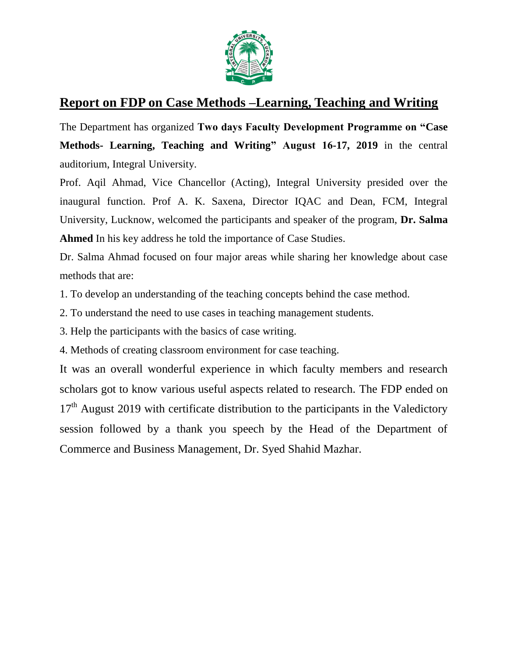

## **Report on FDP on Case Methods –Learning, Teaching and Writing**

The Department has organized **Two days Faculty Development Programme on "Case Methods- Learning, Teaching and Writing" August 16-17, 2019** in the central auditorium, Integral University.

Prof. Aqil Ahmad, Vice Chancellor (Acting), Integral University presided over the inaugural function. Prof A. K. Saxena, Director IQAC and Dean, FCM, Integral University, Lucknow, welcomed the participants and speaker of the program, **Dr. Salma Ahmed** In his key address he told the importance of Case Studies.

Dr. Salma Ahmad focused on four major areas while sharing her knowledge about case methods that are:

1. To develop an understanding of the teaching concepts behind the case method.

2. To understand the need to use cases in teaching management students.

3. Help the participants with the basics of case writing.

4. Methods of creating classroom environment for case teaching.

It was an overall wonderful experience in which faculty members and research scholars got to know various useful aspects related to research. The FDP ended on  $17<sup>th</sup>$  August 2019 with certificate distribution to the participants in the Valedictory session followed by a thank you speech by the Head of the Department of Commerce and Business Management, Dr. Syed Shahid Mazhar.